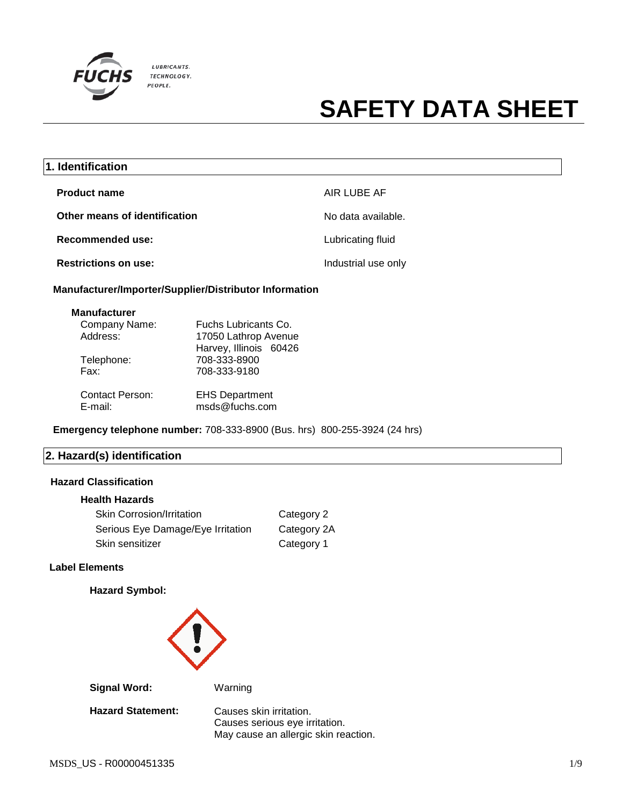

| 1. Identification             |                     |
|-------------------------------|---------------------|
| <b>Product name</b>           | AIR LUBE AF         |
| Other means of identification | No data available.  |
| Recommended use:              | Lubricating fluid   |
| <b>Restrictions on use:</b>   | Industrial use only |

**Manufacturer/Importer/Supplier/Distributor Information**

| <b>Manufacturer</b> |  |
|---------------------|--|
| Company Name:       |  |

| Company Name:<br>Address: | Fuchs Lubricants Co.<br>17050 Lathrop Avenue<br>Harvey, Illinois 60426 |
|---------------------------|------------------------------------------------------------------------|
| Telephone:                | 708-333-8900                                                           |
| Fax:                      | 708-333-9180                                                           |
| <b>Contact Person:</b>    | <b>EHS Department</b>                                                  |
| E-mail:                   | msds@fuchs.com                                                         |

**Emergency telephone number:** 708-333-8900 (Bus. hrs) 800-255-3924 (24 hrs)

## **2. Hazard(s) identification**

## **Hazard Classification**

#### **Health Hazards**

| <b>Skin Corrosion/Irritation</b>  | Category 2  |
|-----------------------------------|-------------|
| Serious Eye Damage/Eye Irritation | Category 2A |
| Skin sensitizer                   | Category 1  |

#### **Label Elements**

## **Hazard Symbol:**



**Signal Word:** Warning

**Hazard Statement:** Causes skin irritation.

Causes serious eye irritation. May cause an allergic skin reaction.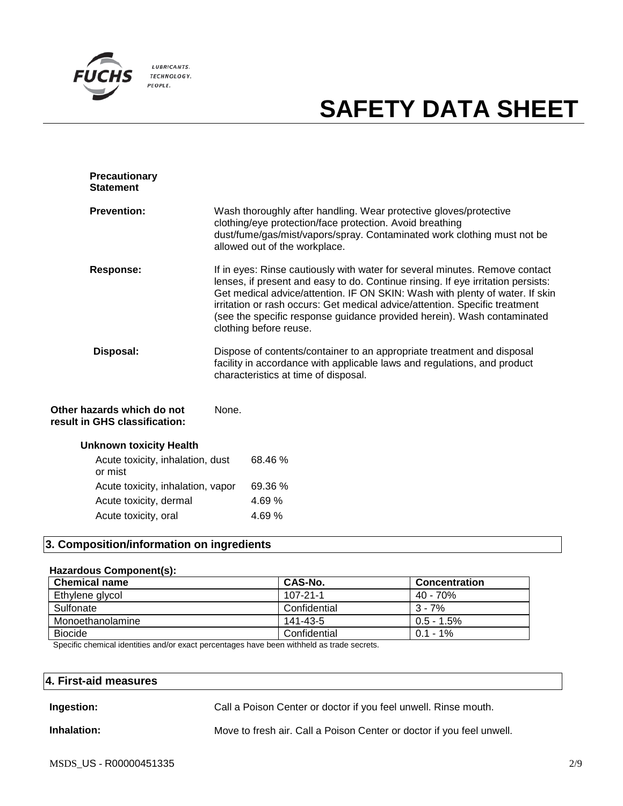

| <b>Precautionary</b><br><b>Statement</b> |                                                                                                                                                                                                                                                                                                                                                                                                                                     |
|------------------------------------------|-------------------------------------------------------------------------------------------------------------------------------------------------------------------------------------------------------------------------------------------------------------------------------------------------------------------------------------------------------------------------------------------------------------------------------------|
| <b>Prevention:</b>                       | Wash thoroughly after handling. Wear protective gloves/protective<br>clothing/eye protection/face protection. Avoid breathing<br>dust/fume/gas/mist/vapors/spray. Contaminated work clothing must not be<br>allowed out of the workplace.                                                                                                                                                                                           |
| Response:                                | If in eyes: Rinse cautiously with water for several minutes. Remove contact<br>lenses, if present and easy to do. Continue rinsing. If eye irritation persists:<br>Get medical advice/attention. IF ON SKIN: Wash with plenty of water. If skin<br>irritation or rash occurs: Get medical advice/attention. Specific treatment<br>(see the specific response guidance provided herein). Wash contaminated<br>clothing before reuse. |
| Disposal:                                | Dispose of contents/container to an appropriate treatment and disposal<br>facility in accordance with applicable laws and regulations, and product<br>characteristics at time of disposal.                                                                                                                                                                                                                                          |
| hazards which do not                     | None.                                                                                                                                                                                                                                                                                                                                                                                                                               |

#### **Other hazards which do not result in GHS classification:**

| Acute toxicity, inhalation, dust<br>or mist | 68.46 % |
|---------------------------------------------|---------|
| Acute toxicity, inhalation, vapor           | 69.36 % |
| Acute toxicity, dermal                      | 4.69%   |
| Acute toxicity, oral                        | 4.69%   |

## **3. Composition/information on ingredients**

#### **Hazardous Component(s):**

| <b>Chemical name</b> | CAS-No.      | Concentration |
|----------------------|--------------|---------------|
| Ethylene glycol      | 107-21-1     | 40 - 70%      |
| Sulfonate            | Confidential | $3 - 7%$      |
| Monoethanolamine     | 141-43-5     | $0.5 - 1.5\%$ |
| <b>Biocide</b>       | Confidential | $0.1 - 1\%$   |

Specific chemical identities and/or exact percentages have been withheld as trade secrets.

## **4. First-aid measures**

# **Ingestion:** Call a Poison Center or doctor if you feel unwell. Rinse mouth.

**Inhalation:** Move to fresh air. Call a Poison Center or doctor if you feel unwell.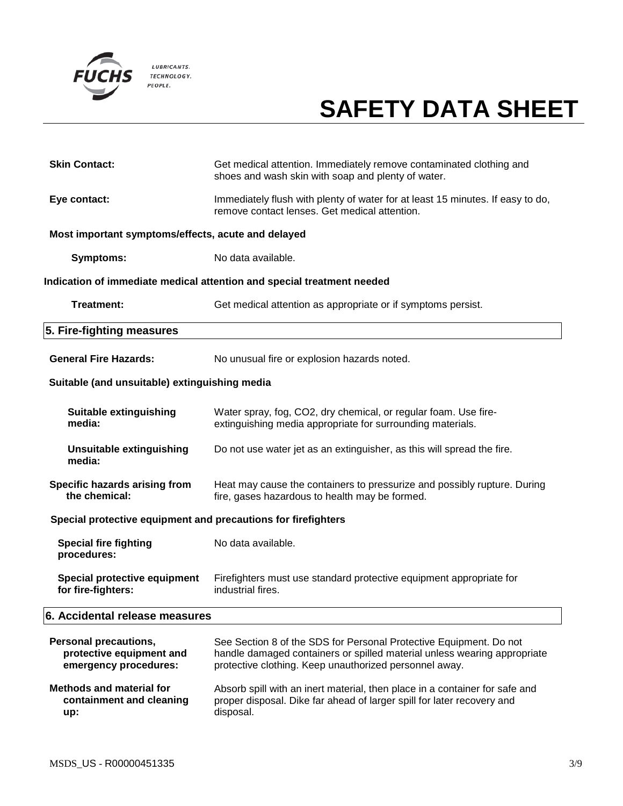

| <b>Skin Contact:</b>                                                              | Get medical attention. Immediately remove contaminated clothing and<br>shoes and wash skin with soap and plenty of water.                                                                                |  |  |
|-----------------------------------------------------------------------------------|----------------------------------------------------------------------------------------------------------------------------------------------------------------------------------------------------------|--|--|
| Eye contact:                                                                      | Immediately flush with plenty of water for at least 15 minutes. If easy to do,<br>remove contact lenses. Get medical attention.                                                                          |  |  |
| Most important symptoms/effects, acute and delayed                                |                                                                                                                                                                                                          |  |  |
| <b>Symptoms:</b>                                                                  | No data available.                                                                                                                                                                                       |  |  |
|                                                                                   | Indication of immediate medical attention and special treatment needed                                                                                                                                   |  |  |
| Treatment:                                                                        | Get medical attention as appropriate or if symptoms persist.                                                                                                                                             |  |  |
| 5. Fire-fighting measures                                                         |                                                                                                                                                                                                          |  |  |
| <b>General Fire Hazards:</b>                                                      | No unusual fire or explosion hazards noted.                                                                                                                                                              |  |  |
| Suitable (and unsuitable) extinguishing media                                     |                                                                                                                                                                                                          |  |  |
| Suitable extinguishing<br>media:                                                  | Water spray, fog, CO2, dry chemical, or regular foam. Use fire-<br>extinguishing media appropriate for surrounding materials.                                                                            |  |  |
| <b>Unsuitable extinguishing</b><br>media:                                         | Do not use water jet as an extinguisher, as this will spread the fire.                                                                                                                                   |  |  |
| Specific hazards arising from<br>the chemical:                                    | Heat may cause the containers to pressurize and possibly rupture. During<br>fire, gases hazardous to health may be formed.                                                                               |  |  |
| Special protective equipment and precautions for firefighters                     |                                                                                                                                                                                                          |  |  |
| <b>Special fire fighting</b><br>procedures:                                       | No data available.                                                                                                                                                                                       |  |  |
| Special protective equipment<br>for fire-fighters:                                | Firefighters must use standard protective equipment appropriate for<br>industrial fires.                                                                                                                 |  |  |
| 6. Accidental release measures                                                    |                                                                                                                                                                                                          |  |  |
| <b>Personal precautions,</b><br>protective equipment and<br>emergency procedures: | See Section 8 of the SDS for Personal Protective Equipment. Do not<br>handle damaged containers or spilled material unless wearing appropriate<br>protective clothing. Keep unauthorized personnel away. |  |  |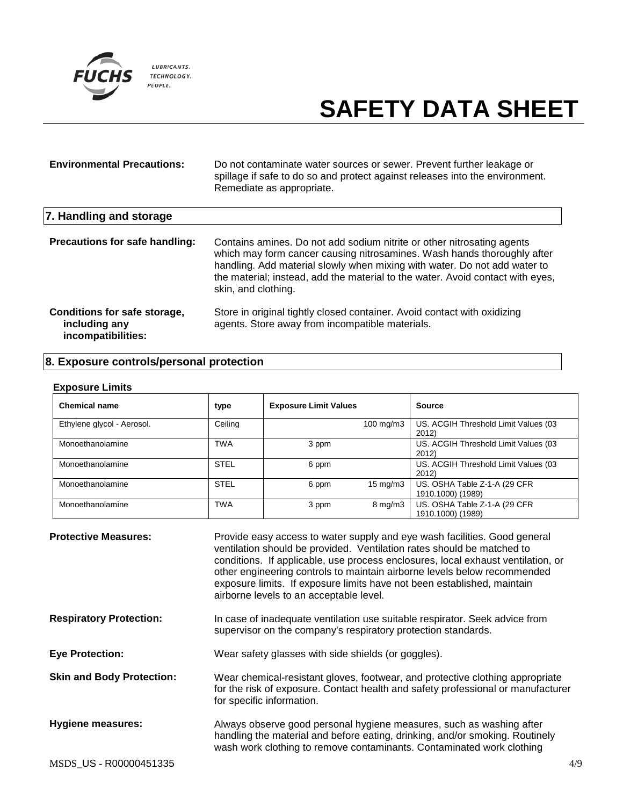

| <b>Environmental Precautions:</b>                                   | Do not contaminate water sources or sewer. Prevent further leakage or<br>spillage if safe to do so and protect against releases into the environment.<br>Remediate as appropriate.                                                                                                                                                      |
|---------------------------------------------------------------------|-----------------------------------------------------------------------------------------------------------------------------------------------------------------------------------------------------------------------------------------------------------------------------------------------------------------------------------------|
| 7. Handling and storage                                             |                                                                                                                                                                                                                                                                                                                                         |
| Precautions for safe handling:                                      | Contains amines. Do not add sodium nitrite or other nitrosating agents<br>which may form cancer causing nitrosamines. Wash hands thoroughly after<br>handling. Add material slowly when mixing with water. Do not add water to<br>the material; instead, add the material to the water. Avoid contact with eyes,<br>skin, and clothing. |
| Conditions for safe storage,<br>including any<br>incompatibilities: | Store in original tightly closed container. Avoid contact with oxidizing<br>agents. Store away from incompatible materials.                                                                                                                                                                                                             |

# **8. Exposure controls/personal protection**

#### **Exposure Limits**

| <b>Chemical name</b>       | type        | <b>Exposure Limit Values</b> |                       | <b>Source</b>                                      |
|----------------------------|-------------|------------------------------|-----------------------|----------------------------------------------------|
| Ethylene glycol - Aerosol. | Ceiling     |                              | $100$ mg/m $3$        | US. ACGIH Threshold Limit Values (03<br>2012)      |
| Monoethanolamine           | <b>TWA</b>  | 3 ppm                        |                       | US. ACGIH Threshold Limit Values (03<br>2012)      |
| Monoethanolamine           | <b>STEL</b> | 6 ppm                        |                       | US. ACGIH Threshold Limit Values (03<br>2012)      |
| Monoethanolamine           | <b>STEL</b> | 6 ppm                        | 15 mg/m $3$           | US. OSHA Table Z-1-A (29 CFR<br>1910.1000) (1989)  |
| Monoethanolamine           | <b>TWA</b>  | 3 ppm                        | $8 \,\mathrm{mq/m}$ 3 | US. OSHA Table Z-1-A (29 CFR)<br>1910.1000) (1989) |

| <b>Protective Measures:</b>      | Provide easy access to water supply and eye wash facilities. Good general<br>ventilation should be provided. Ventilation rates should be matched to<br>conditions. If applicable, use process enclosures, local exhaust ventilation, or<br>other engineering controls to maintain airborne levels below recommended<br>exposure limits. If exposure limits have not been established, maintain<br>airborne levels to an acceptable level. |     |
|----------------------------------|-------------------------------------------------------------------------------------------------------------------------------------------------------------------------------------------------------------------------------------------------------------------------------------------------------------------------------------------------------------------------------------------------------------------------------------------|-----|
| <b>Respiratory Protection:</b>   | In case of inadequate ventilation use suitable respirator. Seek advice from<br>supervisor on the company's respiratory protection standards.                                                                                                                                                                                                                                                                                              |     |
| <b>Eye Protection:</b>           | Wear safety glasses with side shields (or goggles).                                                                                                                                                                                                                                                                                                                                                                                       |     |
| <b>Skin and Body Protection:</b> | Wear chemical-resistant gloves, footwear, and protective clothing appropriate<br>for the risk of exposure. Contact health and safety professional or manufacturer<br>for specific information.                                                                                                                                                                                                                                            |     |
| <b>Hygiene measures:</b>         | Always observe good personal hygiene measures, such as washing after<br>handling the material and before eating, drinking, and/or smoking. Routinely<br>wash work clothing to remove contaminants. Contaminated work clothing                                                                                                                                                                                                             |     |
| MSDS_US - R00000451335           |                                                                                                                                                                                                                                                                                                                                                                                                                                           | 4/9 |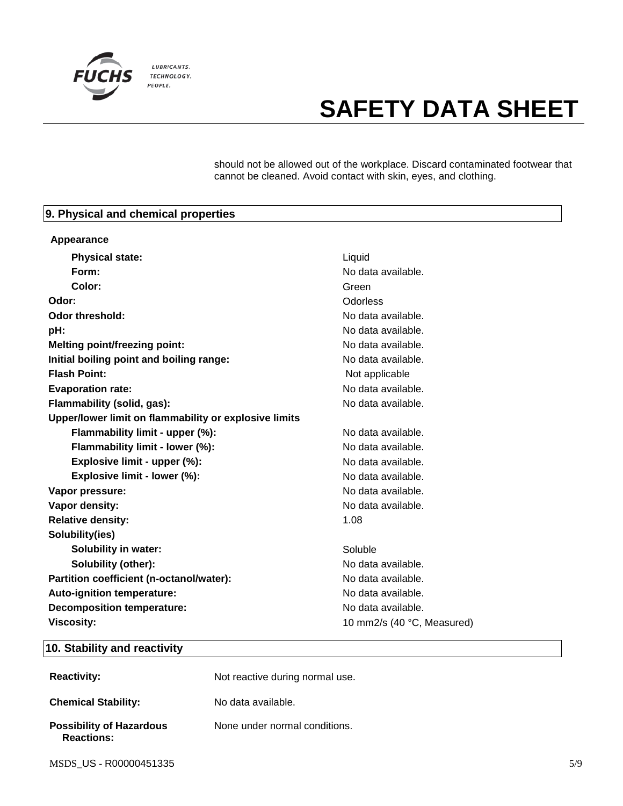

should not be allowed out of the workplace. Discard contaminated footwear that cannot be cleaned. Avoid contact with skin, eyes, and clothing.

## **9. Physical and chemical properties**

| Appearance                                            |                            |
|-------------------------------------------------------|----------------------------|
| <b>Physical state:</b>                                | Liquid                     |
| Form:                                                 | No data available.         |
| Color:                                                | Green                      |
| Odor:                                                 | Odorless                   |
| Odor threshold:                                       | No data available.         |
| pH:                                                   | No data available.         |
| <b>Melting point/freezing point:</b>                  | No data available.         |
| Initial boiling point and boiling range:              | No data available.         |
| <b>Flash Point:</b>                                   | Not applicable             |
| <b>Evaporation rate:</b>                              | No data available.         |
| Flammability (solid, gas):                            | No data available.         |
| Upper/lower limit on flammability or explosive limits |                            |
| Flammability limit - upper (%):                       | No data available.         |
| Flammability limit - lower (%):                       | No data available.         |
| Explosive limit - upper (%):                          | No data available.         |
| Explosive limit - lower (%):                          | No data available.         |
| Vapor pressure:                                       | No data available.         |
| Vapor density:                                        | No data available.         |
| <b>Relative density:</b>                              | 1.08                       |
| Solubility(ies)                                       |                            |
| <b>Solubility in water:</b>                           | Soluble                    |
| <b>Solubility (other):</b>                            | No data available.         |
| Partition coefficient (n-octanol/water):              | No data available.         |
| Auto-ignition temperature:                            | No data available.         |
| <b>Decomposition temperature:</b>                     | No data available.         |
| <b>Viscosity:</b>                                     | 10 mm2/s (40 °C, Measured) |

## **10. Stability and reactivity**

| <b>Reactivity:</b>                                   | Not reactive during normal use. |
|------------------------------------------------------|---------------------------------|
| <b>Chemical Stability:</b>                           | No data available.              |
| <b>Possibility of Hazardous</b><br><b>Reactions:</b> | None under normal conditions.   |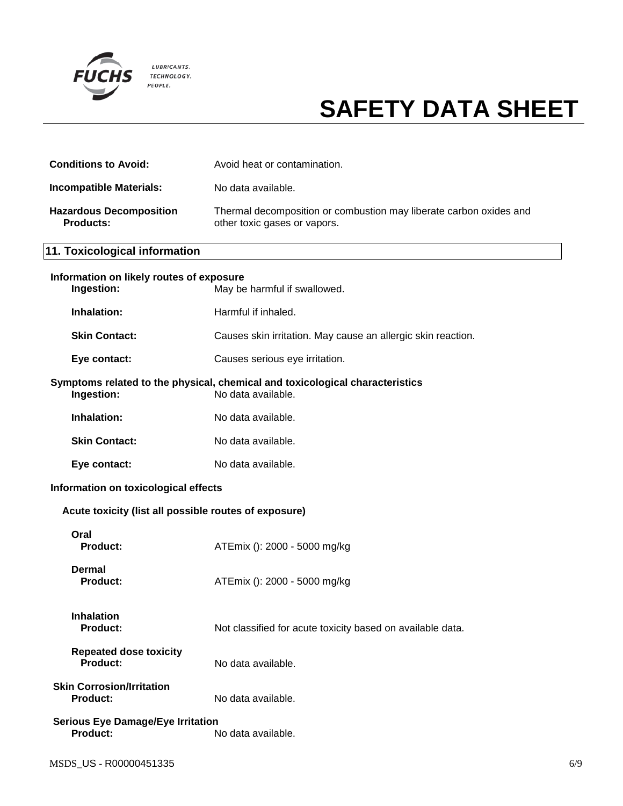

| <b>Conditions to Avoid:</b>                                 | Avoid heat or contamination.                                                                       |
|-------------------------------------------------------------|----------------------------------------------------------------------------------------------------|
| <b>Incompatible Materials:</b>                              | No data available.                                                                                 |
| <b>Hazardous Decomposition</b><br><b>Products:</b>          | Thermal decomposition or combustion may liberate carbon oxides and<br>other toxic gases or vapors. |
| 11. Toxicological information                               |                                                                                                    |
| Information on likely routes of exposure<br>Ingestion:      | May be harmful if swallowed.                                                                       |
| Inhalation:                                                 | Harmful if inhaled.                                                                                |
| <b>Skin Contact:</b>                                        | Causes skin irritation. May cause an allergic skin reaction.                                       |
| Eye contact:                                                | Causes serious eye irritation.                                                                     |
| Ingestion:                                                  | Symptoms related to the physical, chemical and toxicological characteristics<br>No data available. |
| Inhalation:                                                 | No data available.                                                                                 |
| <b>Skin Contact:</b>                                        | No data available.                                                                                 |
| Eye contact:                                                | No data available.                                                                                 |
| Information on toxicological effects                        |                                                                                                    |
| Acute toxicity (list all possible routes of exposure)       |                                                                                                    |
| Oral<br><b>Product:</b>                                     | ATEmix (): 2000 - 5000 mg/kg                                                                       |
| <b>Dermal</b><br><b>Product:</b>                            | ATEmix (): 2000 - 5000 mg/kg                                                                       |
| <b>Inhalation</b><br><b>Product:</b>                        | Not classified for acute toxicity based on available data.                                         |
| <b>Repeated dose toxicity</b><br><b>Product:</b>            | No data available.                                                                                 |
| <b>Skin Corrosion/Irritation</b><br><b>Product:</b>         | No data available.                                                                                 |
| <b>Serious Eye Damage/Eye Irritation</b><br><b>Product:</b> | No data available.                                                                                 |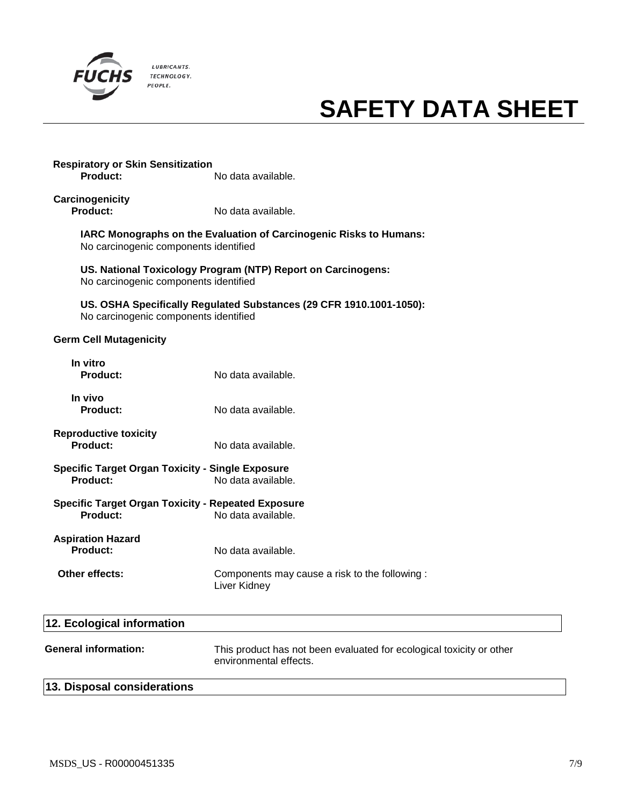

# **Respiratory or Skin Sensitization Product:** No data available.

**Carcinogenicity Product:** No data available.

> **IARC Monographs on the Evaluation of Carcinogenic Risks to Humans:** No carcinogenic components identified

**US. National Toxicology Program (NTP) Report on Carcinogens:** No carcinogenic components identified

**US. OSHA Specifically Regulated Substances (29 CFR 1910.1001-1050):** No carcinogenic components identified

## **Germ Cell Mutagenicity**

| In vitro<br><b>Product:</b>                                                                      | No data available.                                            |
|--------------------------------------------------------------------------------------------------|---------------------------------------------------------------|
| In vivo<br><b>Product:</b>                                                                       | No data available.                                            |
| <b>Reproductive toxicity</b><br><b>Product:</b>                                                  | No data available.                                            |
| <b>Specific Target Organ Toxicity - Single Exposure</b><br><b>Product:</b><br>No data available. |                                                               |
| <b>Specific Target Organ Toxicity - Repeated Exposure</b><br><b>Product:</b>                     | No data available.                                            |
| <b>Aspiration Hazard</b><br><b>Product:</b>                                                      | No data available.                                            |
| Other effects:                                                                                   | Components may cause a risk to the following:<br>Liver Kidney |
|                                                                                                  |                                                               |

| 12. Ecological information  |                                                                                                |  |
|-----------------------------|------------------------------------------------------------------------------------------------|--|
| <b>General information:</b> | This product has not been evaluated for ecological toxicity or other<br>environmental effects. |  |
| 13. Disposal considerations |                                                                                                |  |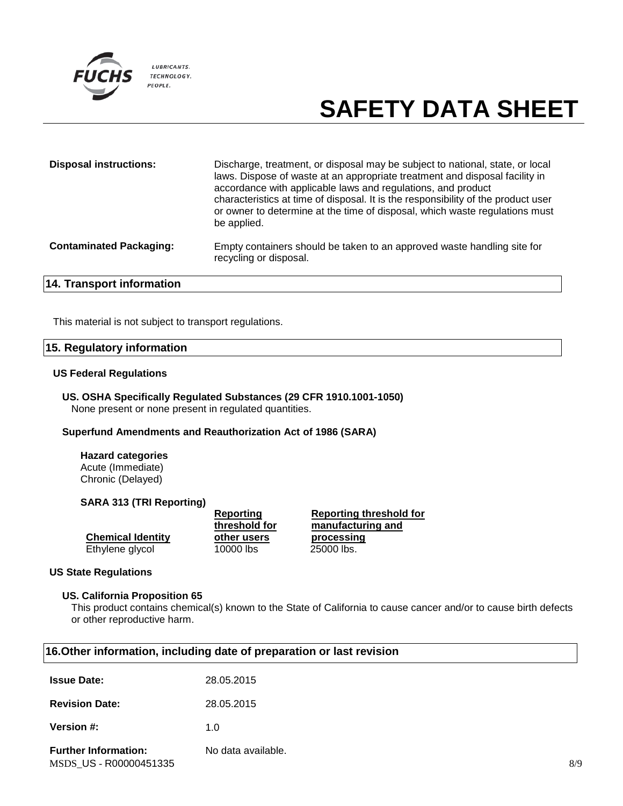

| <b>Disposal instructions:</b>    | Discharge, treatment, or disposal may be subject to national, state, or local<br>laws. Dispose of waste at an appropriate treatment and disposal facility in<br>accordance with applicable laws and regulations, and product<br>characteristics at time of disposal. It is the responsibility of the product user<br>or owner to determine at the time of disposal, which waste regulations must<br>be applied. |
|----------------------------------|-----------------------------------------------------------------------------------------------------------------------------------------------------------------------------------------------------------------------------------------------------------------------------------------------------------------------------------------------------------------------------------------------------------------|
| <b>Contaminated Packaging:</b>   | Empty containers should be taken to an approved waste handling site for<br>recycling or disposal.                                                                                                                                                                                                                                                                                                               |
| <b>14. Transport information</b> |                                                                                                                                                                                                                                                                                                                                                                                                                 |

This material is not subject to transport regulations.

#### **15. Regulatory information**

#### **US Federal Regulations**

**US. OSHA Specifically Regulated Substances (29 CFR 1910.1001-1050)** None present or none present in regulated quantities.

#### **Superfund Amendments and Reauthorization Act of 1986 (SARA)**

**Hazard categories** Acute (Immediate) Chronic (Delayed)

#### **SARA 313 (TRI Reporting)**

**Chemical Identity** Ethylene glycol

**threshold for other users**

**Reporting** 

**16.Other information, including date of preparation or last revision**

**Reporting threshold for manufacturing and processing**

#### **US State Regulations**

#### **US. California Proposition 65**

This product contains chemical(s) known to the State of California to cause cancer and/or to cause birth defects or other reproductive harm.

| <b>Issue Date:</b>                                    | 28.05.2015         |     |
|-------------------------------------------------------|--------------------|-----|
| <b>Revision Date:</b>                                 | 28.05.2015         |     |
| <b>Version #:</b>                                     | 1.0                |     |
| <b>Further Information:</b><br>MSDS_US - R00000451335 | No data available. | 8/9 |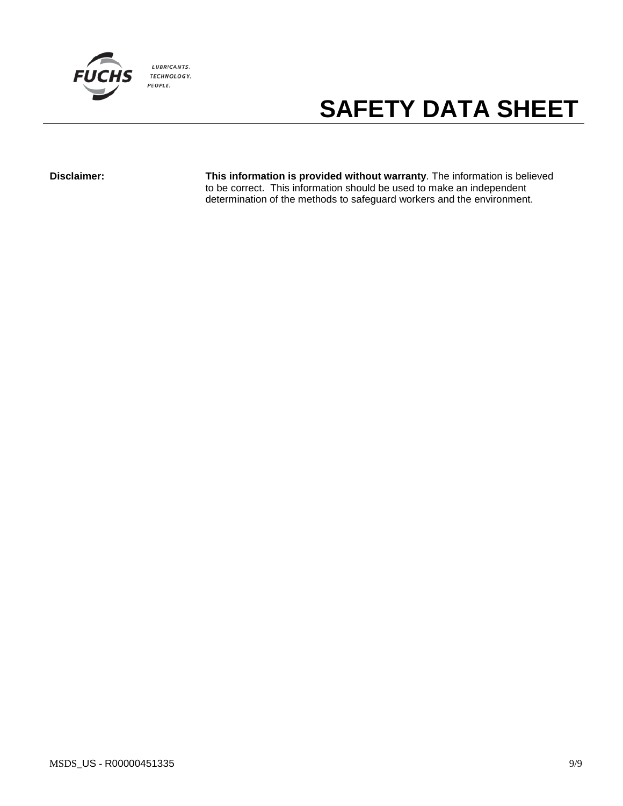

**Disclaimer: This information is provided without warranty**. The information is believed to be correct. This information should be used to make an independent determination of the methods to safeguard workers and the environment.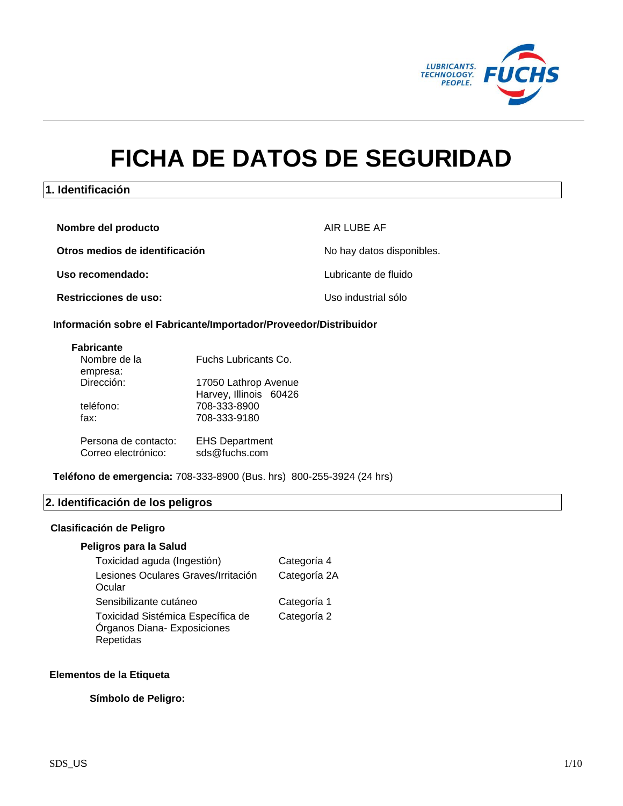

# **FICHA DE DATOS DE SEGURIDAD**

## **1. Identificación**

| Nombre del producto            | AIR LUBE AF               |
|--------------------------------|---------------------------|
| Otros medios de identificación | No hay datos disponibles. |
| Uso recomendado:               | Lubricante de fluido      |
| <b>Restricciones de uso:</b>   | Uso industrial sólo       |

#### **Información sobre el Fabricante/Importador/Proveedor/Distribuidor**

| <b>Fabricante</b> |  |
|-------------------|--|
| Nlambra da la     |  |

| Nombre de la         | Fuchs Lubricants Co.   |
|----------------------|------------------------|
| empresa:             |                        |
| Dirección:           | 17050 Lathrop Avenue   |
|                      | Harvey, Illinois 60426 |
| teléfono:            | 708-333-8900           |
| fax:                 | 708-333-9180           |
|                      |                        |
| Persona de contacto: | <b>EHS Department</b>  |
| Correo electrónico:  | sds@fuchs.com          |

**Teléfono de emergencia:** 708-333-8900 (Bus. hrs) 800-255-3924 (24 hrs)

# **2. Identificación de los peligros**

## **Clasificación de Peligro**

### **Peligros para la Salud**

| Toxicidad aguda (Ingestión)                                                   | Categoría 4  |
|-------------------------------------------------------------------------------|--------------|
| Lesiones Oculares Graves/Irritación<br>Ocular                                 | Categoría 2A |
| Sensibilizante cutáneo                                                        | Categoría 1  |
| Toxicidad Sistémica Específica de<br>Órganos Diana- Exposiciones<br>Repetidas | Categoría 2  |

### **Elementos de la Etiqueta**

### **Símbolo de Peligro:**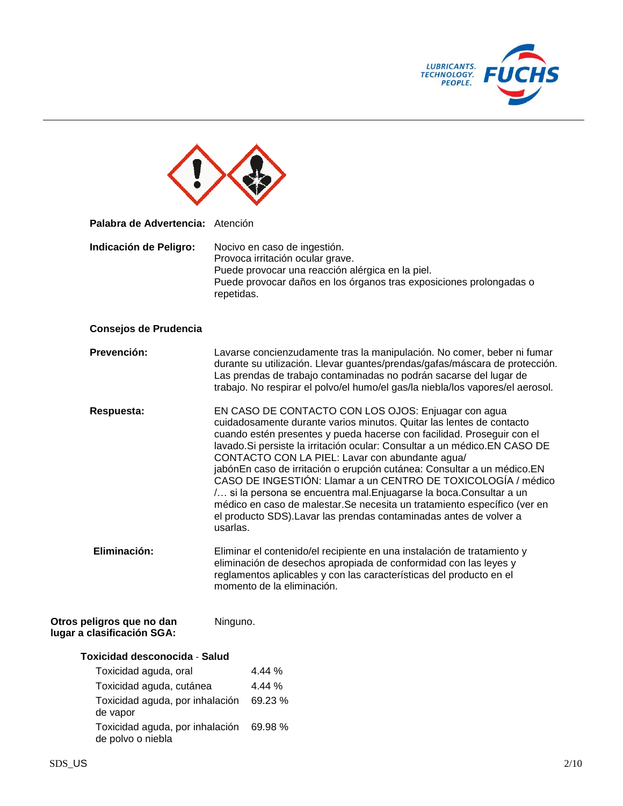

| Palabra de Advertencia: Atención                        |                                                                                                                                                                                                                                                                                                                                                                                                                                                                                                                                                                                                                                                                                                                            |  |
|---------------------------------------------------------|----------------------------------------------------------------------------------------------------------------------------------------------------------------------------------------------------------------------------------------------------------------------------------------------------------------------------------------------------------------------------------------------------------------------------------------------------------------------------------------------------------------------------------------------------------------------------------------------------------------------------------------------------------------------------------------------------------------------------|--|
| Indicación de Peligro:                                  | Nocivo en caso de ingestión.<br>Provoca irritación ocular grave.<br>Puede provocar una reacción alérgica en la piel.<br>Puede provocar daños en los órganos tras exposiciones prolongadas o<br>repetidas.                                                                                                                                                                                                                                                                                                                                                                                                                                                                                                                  |  |
| Consejos de Prudencia                                   |                                                                                                                                                                                                                                                                                                                                                                                                                                                                                                                                                                                                                                                                                                                            |  |
| Prevención:                                             | Lavarse concienzudamente tras la manipulación. No comer, beber ni fumar<br>durante su utilización. Llevar guantes/prendas/gafas/máscara de protección.<br>Las prendas de trabajo contaminadas no podrán sacarse del lugar de<br>trabajo. No respirar el polvo/el humo/el gas/la niebla/los vapores/el aerosol.                                                                                                                                                                                                                                                                                                                                                                                                             |  |
| Respuesta:                                              | EN CASO DE CONTACTO CON LOS OJOS: Enjuagar con agua<br>cuidadosamente durante varios minutos. Quitar las lentes de contacto<br>cuando estén presentes y pueda hacerse con facilidad. Proseguir con el<br>lavado. Si persiste la irritación ocular: Consultar a un médico. EN CASO DE<br>CONTACTO CON LA PIEL: Lavar con abundante agua/<br>jabónEn caso de irritación o erupción cutánea: Consultar a un médico.EN<br>CASO DE INGESTIÓN: Llamar a un CENTRO DE TOXICOLOGÍA / médico<br>/ si la persona se encuentra mal. Enjuagarse la boca. Consultar a un<br>médico en caso de malestar. Se necesita un tratamiento específico (ver en<br>el producto SDS). Lavar las prendas contaminadas antes de volver a<br>usarlas. |  |
| Eliminación:                                            | Eliminar el contenido/el recipiente en una instalación de tratamiento y<br>eliminación de desechos apropiada de conformidad con las leyes y<br>reglamentos aplicables y con las características del producto en el<br>momento de la eliminación.                                                                                                                                                                                                                                                                                                                                                                                                                                                                           |  |
| Otros peligros que no dan<br>lugar a clasificación SGA: | Ninguno.                                                                                                                                                                                                                                                                                                                                                                                                                                                                                                                                                                                                                                                                                                                   |  |
| <b>Toxicidad desconocida - Salud</b>                    |                                                                                                                                                                                                                                                                                                                                                                                                                                                                                                                                                                                                                                                                                                                            |  |
| Toxicidad aguda, oral                                   | 4.44 %                                                                                                                                                                                                                                                                                                                                                                                                                                                                                                                                                                                                                                                                                                                     |  |
| Toxicidad aguda, cutánea                                | 4.44 %                                                                                                                                                                                                                                                                                                                                                                                                                                                                                                                                                                                                                                                                                                                     |  |
| Toxicidad aguda, por inhalación<br>de vapor             | 69.23 %                                                                                                                                                                                                                                                                                                                                                                                                                                                                                                                                                                                                                                                                                                                    |  |
| Toxicidad aguda, por inhalación<br>de polvo o niebla    | 69.98 %                                                                                                                                                                                                                                                                                                                                                                                                                                                                                                                                                                                                                                                                                                                    |  |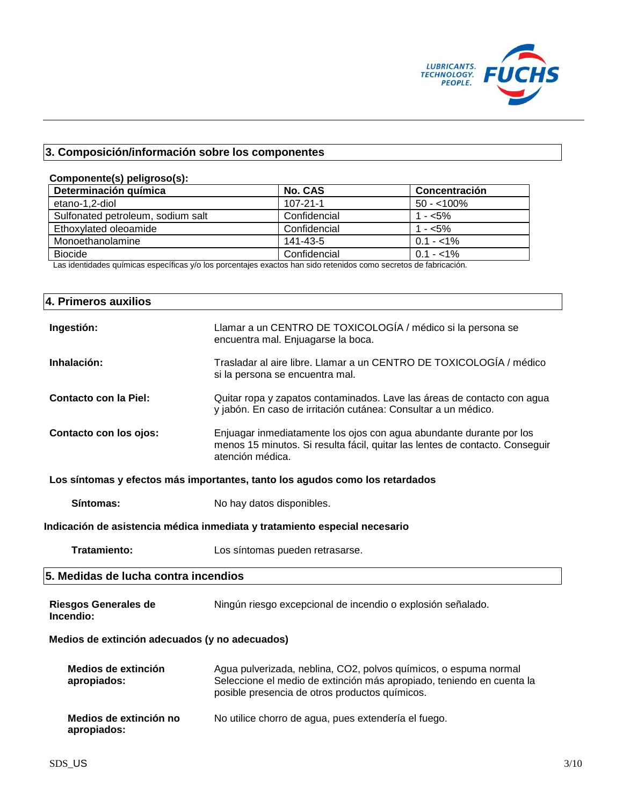

# **3. Composición/información sobre los componentes**

### **Componente(s) peligroso(s):**

| Determinación química             | <b>No. CAS</b> | Concentración |
|-----------------------------------|----------------|---------------|
| etano-1,2-diol                    | $107 - 21 - 1$ | $50 - 100\%$  |
| Sulfonated petroleum, sodium salt | Confidencial   | 1 - $<$ 5%    |
| Ethoxylated oleoamide             | Confidencial   | 1 - $<$ 5%    |
| Monoethanolamine                  | 141-43-5       | $0.1 - 1\%$   |
| Biocide                           | Confidencial   | $0.1 - 1\%$   |

Las identidades químicas específicas y/o los porcentajes exactos han sido retenidos como secretos de fabricación.

| 4. Primeros auxilios                           |                                                                                                                                                                                             |
|------------------------------------------------|---------------------------------------------------------------------------------------------------------------------------------------------------------------------------------------------|
| Ingestión:                                     | Llamar a un CENTRO DE TOXICOLOGÍA / médico si la persona se<br>encuentra mal. Enjuagarse la boca.                                                                                           |
| Inhalación:                                    | Trasladar al aire libre. Llamar a un CENTRO DE TOXICOLOGÍA / médico<br>si la persona se encuentra mal.                                                                                      |
| <b>Contacto con la Piel:</b>                   | Quitar ropa y zapatos contaminados. Lave las áreas de contacto con agua<br>y jabón. En caso de irritación cutánea: Consultar a un médico.                                                   |
| Contacto con los ojos:                         | Enjuagar inmediatamente los ojos con agua abundante durante por los<br>menos 15 minutos. Si resulta fácil, quitar las lentes de contacto. Conseguir<br>atención médica.                     |
|                                                | Los síntomas y efectos más importantes, tanto los agudos como los retardados                                                                                                                |
| Síntomas:                                      | No hay datos disponibles.                                                                                                                                                                   |
|                                                | Indicación de asistencia médica inmediata y tratamiento especial necesario                                                                                                                  |
| <b>Tratamiento:</b>                            | Los síntomas pueden retrasarse.                                                                                                                                                             |
| 5. Medidas de lucha contra incendios           |                                                                                                                                                                                             |
| <b>Riesgos Generales de</b><br>Incendio:       | Ningún riesgo excepcional de incendio o explosión señalado.                                                                                                                                 |
| Medios de extinción adecuados (y no adecuados) |                                                                                                                                                                                             |
| Medios de extinción<br>apropiados:             | Agua pulverizada, neblina, CO2, polvos químicos, o espuma normal<br>Seleccione el medio de extinción más apropiado, teniendo en cuenta la<br>posible presencia de otros productos químicos. |
| Medios de extinción no<br>apropiados:          | No utilice chorro de agua, pues extendería el fuego.                                                                                                                                        |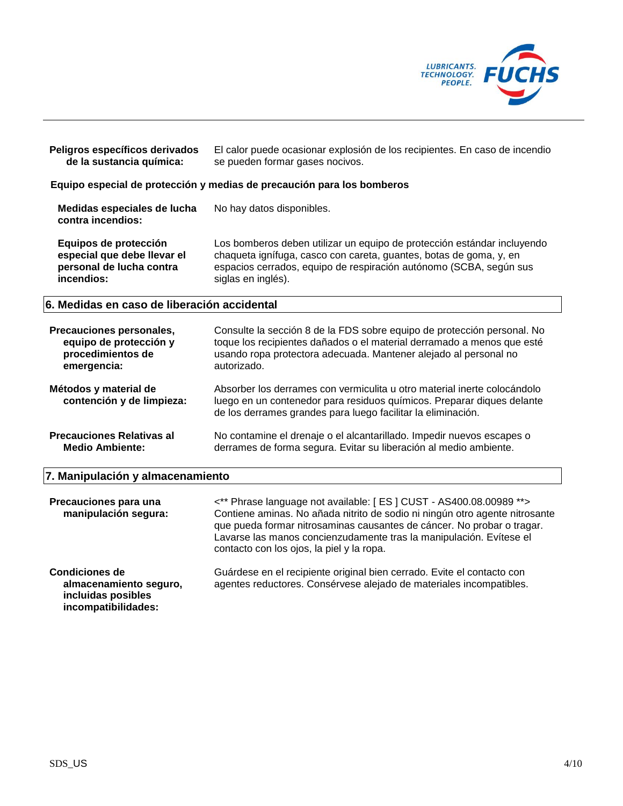

| Peligros específicos derivados<br>de la sustancia química: | El calor puede ocasionar explosión de los recipientes. En caso de incendio<br>se pueden formar gases nocivos. |
|------------------------------------------------------------|---------------------------------------------------------------------------------------------------------------|
|                                                            | Equipo especial de protección y medias de precaución para los bomberos                                        |
| Medidas especiales de lucha<br>contra incendios:           | No hay datos disponibles.                                                                                     |

**Equipos de protección especial que debe llevar el personal de lucha contra incendios:** Los bomberos deben utilizar un equipo de protección estándar incluyendo chaqueta ignífuga, casco con careta, guantes, botas de goma, y, en espacios cerrados, equipo de respiración autónomo (SCBA, según sus siglas en inglés).

## **6. Medidas en caso de liberación accidental**

| Precauciones personales,                           | Consulte la sección 8 de la FDS sobre equipo de protección personal. No                                                                                                                                            |
|----------------------------------------------------|--------------------------------------------------------------------------------------------------------------------------------------------------------------------------------------------------------------------|
| equipo de protección y                             | toque los recipientes dañados o el material derramado a menos que esté                                                                                                                                             |
| procedimientos de                                  | usando ropa protectora adecuada. Mantener alejado al personal no                                                                                                                                                   |
| emergencia:                                        | autorizado.                                                                                                                                                                                                        |
| Métodos y material de<br>contención y de limpieza: | Absorber los derrames con vermiculita u otro material inerte colocándolo<br>luego en un contenedor para residuos químicos. Preparar diques delante<br>de los derrames grandes para luego facilitar la eliminación. |
| <b>Precauciones Relativas al</b>                   | No contamine el drenaje o el alcantarillado. Impedir nuevos escapes o                                                                                                                                              |
| <b>Medio Ambiente:</b>                             | derrames de forma segura. Evitar su liberación al medio ambiente.                                                                                                                                                  |

#### **7. Manipulación y almacenamiento**

| Precauciones para una<br>manipulación segura:                                                | <** Phrase language not available: [ES] CUST - AS400.08.00989 ** ><br>Contiene aminas. No añada nitrito de sodio ni ningún otro agente nitrosante<br>que pueda formar nitrosaminas causantes de cáncer. No probar o tragar.<br>Lavarse las manos concienzudamente tras la manipulación. Evítese el<br>contacto con los ojos, la piel y la ropa. |
|----------------------------------------------------------------------------------------------|-------------------------------------------------------------------------------------------------------------------------------------------------------------------------------------------------------------------------------------------------------------------------------------------------------------------------------------------------|
| <b>Condiciones de</b><br>almacenamiento seguro,<br>incluidas posibles<br>incompatibilidades: | Guárdese en el recipiente original bien cerrado. Evite el contacto con<br>agentes reductores. Consérvese alejado de materiales incompatibles.                                                                                                                                                                                                   |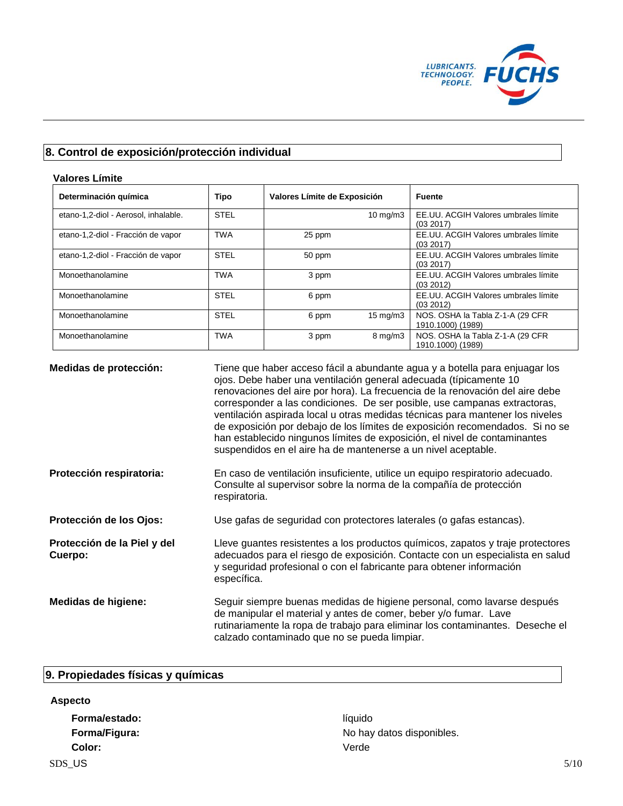

# **8. Control de exposición/protección individual**

## **Valores Límite**

| Determinación química                | <b>Tipo</b> | Valores Límite de Exposición | <b>Fuente</b>                                          |
|--------------------------------------|-------------|------------------------------|--------------------------------------------------------|
| etano-1,2-diol - Aerosol, inhalable. | <b>STEL</b> | $10 \text{ mg/m}$            | EE.UU. ACGIH Valores umbrales límite<br>(03 2017)      |
| etano-1,2-diol - Fracción de vapor   | <b>TWA</b>  | 25 ppm                       | EE.UU. ACGIH Valores umbrales límite<br>(03 2017)      |
| etano-1,2-diol - Fracción de vapor   | <b>STEL</b> | 50 ppm                       | EE.UU. ACGIH Valores umbrales límite<br>(03 2017)      |
| Monoethanolamine                     | <b>TWA</b>  | 3 ppm                        | EE.UU. ACGIH Valores umbrales límite<br>(03 2012)      |
| Monoethanolamine                     | <b>STEL</b> | 6 ppm                        | EE.UU. ACGIH Valores umbrales límite<br>(03 2012)      |
| Monoethanolamine                     | <b>STEL</b> | $15 \text{ mg/m}$<br>6 ppm   | NOS. OSHA la Tabla Z-1-A (29 CFR<br>1910.1000) (1989)  |
| Monoethanolamine                     | <b>TWA</b>  | $8 \text{ mg/m}$<br>3 ppm    | NOS. OSHA la Tabla Z-1-A (29 CFR)<br>1910.1000) (1989) |

| Medidas de protección:                 | Tiene que haber acceso fácil a abundante agua y a botella para enjuagar los<br>ojos. Debe haber una ventilación general adecuada (típicamente 10<br>renovaciones del aire por hora). La frecuencia de la renovación del aire debe<br>corresponder a las condiciones. De ser posible, use campanas extractoras,<br>ventilación aspirada local u otras medidas técnicas para mantener los niveles<br>de exposición por debajo de los límites de exposición recomendados. Si no se<br>han establecido ningunos límites de exposición, el nivel de contaminantes<br>suspendidos en el aire ha de mantenerse a un nivel aceptable. |
|----------------------------------------|-------------------------------------------------------------------------------------------------------------------------------------------------------------------------------------------------------------------------------------------------------------------------------------------------------------------------------------------------------------------------------------------------------------------------------------------------------------------------------------------------------------------------------------------------------------------------------------------------------------------------------|
| Protección respiratoria:               | En caso de ventilación insuficiente, utilice un equipo respiratorio adecuado.<br>Consulte al supervisor sobre la norma de la compañía de protección<br>respiratoria.                                                                                                                                                                                                                                                                                                                                                                                                                                                          |
| Protección de los Ojos:                | Use gafas de seguridad con protectores laterales (o gafas estancas).                                                                                                                                                                                                                                                                                                                                                                                                                                                                                                                                                          |
| Protección de la Piel y del<br>Cuerpo: | Lleve guantes resistentes a los productos químicos, zapatos y traje protectores<br>adecuados para el riesgo de exposición. Contacte con un especialista en salud<br>y seguridad profesional o con el fabricante para obtener información<br>específica.                                                                                                                                                                                                                                                                                                                                                                       |
| Medidas de higiene:                    | Seguir siempre buenas medidas de higiene personal, como lavarse después<br>de manipular el material y antes de comer, beber y/o fumar. Lave<br>rutinariamente la ropa de trabajo para eliminar los contaminantes. Deseche el<br>calzado contaminado que no se pueda limpiar.                                                                                                                                                                                                                                                                                                                                                  |

# **9. Propiedades físicas y químicas**

## **Aspecto**

Forma/estado: **líquido Color:** Verde

**Forma/Figura:** The contract of the contract of the No hay datos disponibles.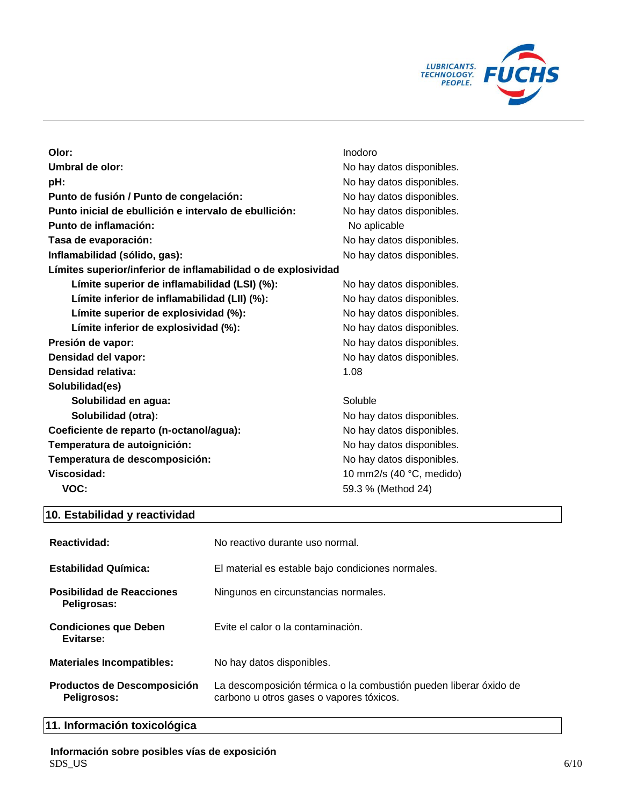

| Olor:                                                         | Inodoro                   |
|---------------------------------------------------------------|---------------------------|
| Umbral de olor:                                               | No hay datos disponibles. |
| pH:                                                           | No hay datos disponibles. |
| Punto de fusión / Punto de congelación:                       | No hay datos disponibles. |
| Punto inicial de ebullición e intervalo de ebullición:        | No hay datos disponibles. |
| Punto de inflamación:                                         | No aplicable              |
| Tasa de evaporación:                                          | No hay datos disponibles. |
| Inflamabilidad (sólido, gas):                                 | No hay datos disponibles. |
| Límites superior/inferior de inflamabilidad o de explosividad |                           |
| Límite superior de inflamabilidad (LSI) (%):                  | No hay datos disponibles. |
| Límite inferior de inflamabilidad (LII) (%):                  | No hay datos disponibles. |
| Límite superior de explosividad (%):                          | No hay datos disponibles. |
| Límite inferior de explosividad (%):                          | No hay datos disponibles. |
| Presión de vapor:                                             | No hay datos disponibles. |
| Densidad del vapor:                                           | No hay datos disponibles. |
| Densidad relativa:                                            | 1.08                      |
| Solubilidad(es)                                               |                           |
| Solubilidad en agua:                                          | Soluble                   |
| Solubilidad (otra):                                           | No hay datos disponibles. |
| Coeficiente de reparto (n-octanol/agua):                      | No hay datos disponibles. |
| Temperatura de autoignición:                                  | No hay datos disponibles. |
| Temperatura de descomposición:                                | No hay datos disponibles. |
| Viscosidad:                                                   | 10 mm2/s (40 °C, medido)  |
| VOC:                                                          | 59.3 % (Method 24)        |

# **10. Estabilidad y reactividad**

| Reactividad:                                    | No reactivo durante uso normal.                                                                               |
|-------------------------------------------------|---------------------------------------------------------------------------------------------------------------|
| <b>Estabilidad Química:</b>                     | El material es estable bajo condiciones normales.                                                             |
| <b>Posibilidad de Reacciones</b><br>Peligrosas: | Ningunos en circunstancias normales.                                                                          |
| <b>Condiciones que Deben</b><br>Evitarse:       | Evite el calor o la contaminación.                                                                            |
| <b>Materiales Incompatibles:</b>                | No hay datos disponibles.                                                                                     |
| Productos de Descomposición<br>Peligrosos:      | La descomposición térmica o la combustión pueden liberar óxido de<br>carbono u otros gases o vapores tóxicos. |

# **11. Información toxicológica**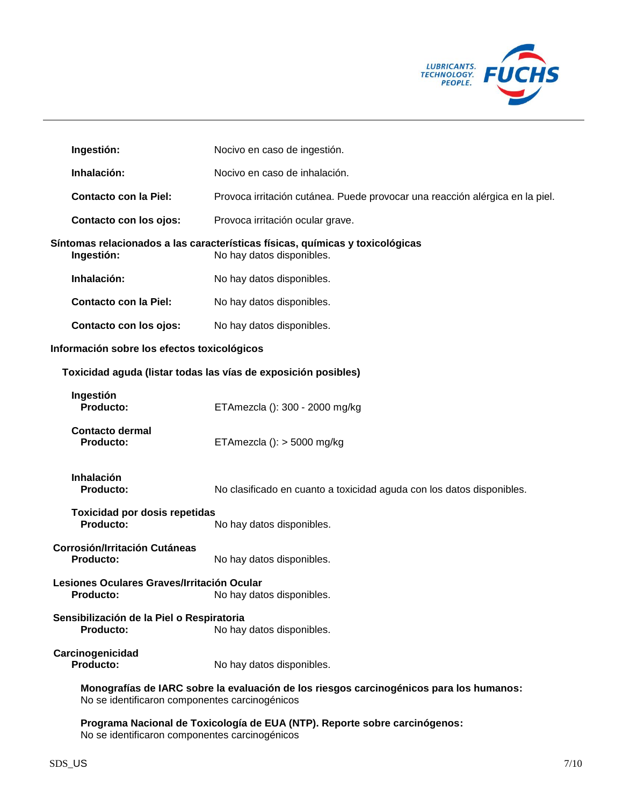

| Ingestión:                                                                                                                                | Nocivo en caso de ingestión.                                                                               |  |
|-------------------------------------------------------------------------------------------------------------------------------------------|------------------------------------------------------------------------------------------------------------|--|
| Inhalación:                                                                                                                               | Nocivo en caso de inhalación.                                                                              |  |
| <b>Contacto con la Piel:</b>                                                                                                              | Provoca irritación cutánea. Puede provocar una reacción alérgica en la piel.                               |  |
| Contacto con los ojos:                                                                                                                    | Provoca irritación ocular grave.                                                                           |  |
| Ingestión:                                                                                                                                | Síntomas relacionados a las características físicas, químicas y toxicológicas<br>No hay datos disponibles. |  |
| Inhalación:                                                                                                                               | No hay datos disponibles.                                                                                  |  |
| <b>Contacto con la Piel:</b>                                                                                                              | No hay datos disponibles.                                                                                  |  |
| Contacto con los ojos:                                                                                                                    | No hay datos disponibles.                                                                                  |  |
| Información sobre los efectos toxicológicos                                                                                               |                                                                                                            |  |
| Toxicidad aguda (listar todas las vías de exposición posibles)                                                                            |                                                                                                            |  |
| Ingestión<br>Producto:                                                                                                                    | ETAmezcla (): 300 - 2000 mg/kg                                                                             |  |
| <b>Contacto dermal</b><br><b>Producto:</b>                                                                                                | ETAmezcla (): $>$ 5000 mg/kg                                                                               |  |
| <b>Inhalación</b><br>Producto:                                                                                                            | No clasificado en cuanto a toxicidad aguda con los datos disponibles.                                      |  |
| <b>Toxicidad por dosis repetidas</b><br>Producto:                                                                                         | No hay datos disponibles.                                                                                  |  |
| <b>Corrosión/Irritación Cutáneas</b><br><b>Producto:</b>                                                                                  | No hay datos disponibles.                                                                                  |  |
| Lesiones Oculares Graves/Irritación Ocular<br><b>Producto:</b>                                                                            | No hay datos disponibles.                                                                                  |  |
| Sensibilización de la Piel o Respiratoria<br><b>Producto:</b>                                                                             | No hay datos disponibles.                                                                                  |  |
| Carcinogenicidad<br>Producto:                                                                                                             | No hay datos disponibles.                                                                                  |  |
| Monografías de IARC sobre la evaluación de los riesgos carcinogénicos para los humanos:<br>No se identificaron componentes carcinogénicos |                                                                                                            |  |
|                                                                                                                                           | Programa Nacional de Toxicología de EUA (NTP). Reporte sobre carcinógenos:                                 |  |

No se identificaron componentes carcinogénicos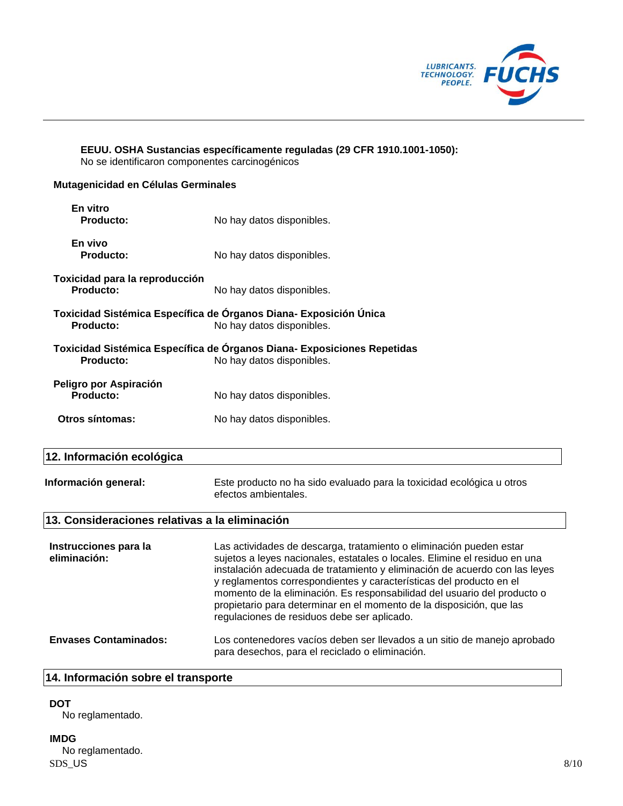

**EEUU. OSHA Sustancias específicamente reguladas (29 CFR 1910.1001-1050):** No se identificaron componentes carcinogénicos

### **Mutagenicidad en Células Germinales**

| En vitro<br>Producto:                       | No hay datos disponibles.                                                                            |
|---------------------------------------------|------------------------------------------------------------------------------------------------------|
| En vivo<br>Producto:                        | No hay datos disponibles.                                                                            |
| Toxicidad para la reproducción<br>Producto: | No hay datos disponibles.                                                                            |
| Producto:                                   | Toxicidad Sistémica Específica de Órganos Diana- Exposición Única<br>No hay datos disponibles.       |
| Producto:                                   | Toxicidad Sistémica Específica de Órganos Diana- Exposiciones Repetidas<br>No hay datos disponibles. |
| Peligro por Aspiración<br>Producto:         | No hay datos disponibles.                                                                            |
| Otros síntomas:                             | No hay datos disponibles.                                                                            |
|                                             |                                                                                                      |

# **12. Información ecológica**

| Información general: | Este producto no ha sido evaluado para la toxicidad ecológica u otros |
|----------------------|-----------------------------------------------------------------------|
|                      | efectos ambientales.                                                  |

## **13. Consideraciones relativas a la eliminación**

| Instrucciones para la<br>eliminación: | Las actividades de descarga, tratamiento o eliminación pueden estar<br>sujetos a leyes nacionales, estatales o locales. Elimine el residuo en una<br>instalación adecuada de tratamiento y eliminación de acuerdo con las leyes<br>y reglamentos correspondientes y características del producto en el<br>momento de la eliminación. Es responsabilidad del usuario del producto o<br>propietario para determinar en el momento de la disposición, que las<br>regulaciones de residuos debe ser aplicado. |
|---------------------------------------|-----------------------------------------------------------------------------------------------------------------------------------------------------------------------------------------------------------------------------------------------------------------------------------------------------------------------------------------------------------------------------------------------------------------------------------------------------------------------------------------------------------|
| <b>Envases Contaminados:</b>          | Los contenedores vacíos deben ser llevados a un sitio de manejo aprobado<br>para desechos, para el reciclado o eliminación.                                                                                                                                                                                                                                                                                                                                                                               |

### **14. Información sobre el transporte**

## **DOT**

No reglamentado.

#### **IMDG**

 $SDS_U$ US  $8/10$ No reglamentado.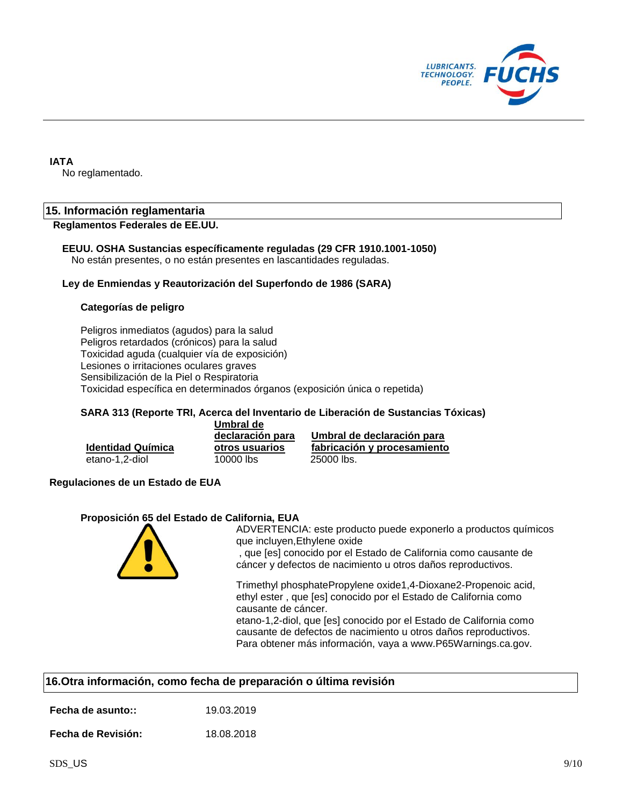

#### **IATA**

No reglamentado.

### **15. Información reglamentaria**

#### **Reglamentos Federales de EE.UU.**

#### **EEUU. OSHA Sustancias específicamente reguladas (29 CFR 1910.1001-1050)**

No están presentes, o no están presentes en lascantidades reguladas.

#### **Ley de Enmiendas y Reautorización del Superfondo de 1986 (SARA)**

#### **Categorías de peligro**

Peligros inmediatos (agudos) para la salud Peligros retardados (crónicos) para la salud Toxicidad aguda (cualquier vía de exposición) Lesiones o irritaciones oculares graves Sensibilización de la Piel o Respiratoria Toxicidad específica en determinados órganos (exposición única o repetida)

#### **SARA 313 (Reporte TRI, Acerca del Inventario de Liberación de Sustancias Tóxicas)**

|                          | Umbral de        |                             |
|--------------------------|------------------|-----------------------------|
|                          | declaración para | Umbral de declaración para  |
| <b>Identidad Química</b> | otros usuarios   | fabricación y procesamiento |
| etano-1.2-diol           | 10000 lbs        | 25000 lbs.                  |

#### **Regulaciones de un Estado de EUA**

#### **Proposición 65 del Estado de California, EUA**



ADVERTENCIA: este producto puede exponerlo a productos químicos que incluyen,Ethylene oxide

, que [es] conocido por el Estado de California como causante de cáncer y defectos de nacimiento u otros daños reproductivos.

Trimethyl phosphatePropylene oxide1,4-Dioxane2-Propenoic acid, ethyl ester , que [es] conocido por el Estado de California como causante de cáncer.

etano-1,2-diol, que [es] conocido por el Estado de California como causante de defectos de nacimiento u otros daños reproductivos. Para obtener más información, vaya a www.P65Warnings.ca.gov.

| 16. Otra información, como fecha de preparación o última revisión |            |  |  |
|-------------------------------------------------------------------|------------|--|--|
| Fecha de asunto::                                                 | 19.03.2019 |  |  |
| <b>Fecha de Revisión:</b>                                         | 18.08.2018 |  |  |